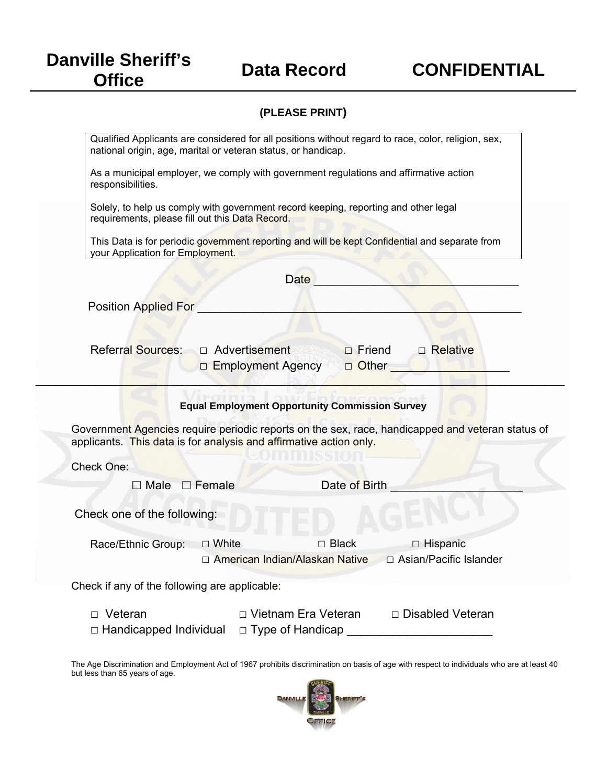## **Danville Sheriff's**

## **(PLEASE PRINT)**

| Qualified Applicants are considered for all positions without regard to race, color, religion, sex,<br>national origin, age, marital or veteran status, or handicap.   |
|------------------------------------------------------------------------------------------------------------------------------------------------------------------------|
| As a municipal employer, we comply with government regulations and affirmative action                                                                                  |
| responsibilities.                                                                                                                                                      |
| Solely, to help us comply with government record keeping, reporting and other legal<br>requirements, please fill out this Data Record.                                 |
| This Data is for periodic government reporting and will be kept Confidential and separate from<br>your Application for Employment.                                     |
| Date                                                                                                                                                                   |
| <b>Position Applied For</b>                                                                                                                                            |
|                                                                                                                                                                        |
| <b>Referral Sources:</b><br>□ Advertisement<br>□ Relative<br>$\Box$ Friend<br><b>D</b> Other<br>□ Employment Agency                                                    |
| <b>Equal Employment Opportunity Commission Survey</b>                                                                                                                  |
| Government Agencies require periodic reports on the sex, race, handicapped and veteran status of<br>applicants. This data is for analysis and affirmative action only. |
| Check One:                                                                                                                                                             |
| $\Box$ Male $\Box$ Female<br>Date of Birth                                                                                                                             |
| Check one of the following:                                                                                                                                            |
|                                                                                                                                                                        |
| Race/Ethnic Group:<br>$\Box$ Black<br>□ White<br>$\Box$ Hispanic                                                                                                       |
| $\Box$ Asian/Pacific Islander<br>□ American Indian/Alaskan Native                                                                                                      |
| Check if any of the following are applicable:                                                                                                                          |

The Age Discrimination and Employment Act of 1967 prohibits discrimination on basis of age with respect to individuals who are at least 40 but less than 65 years of age.

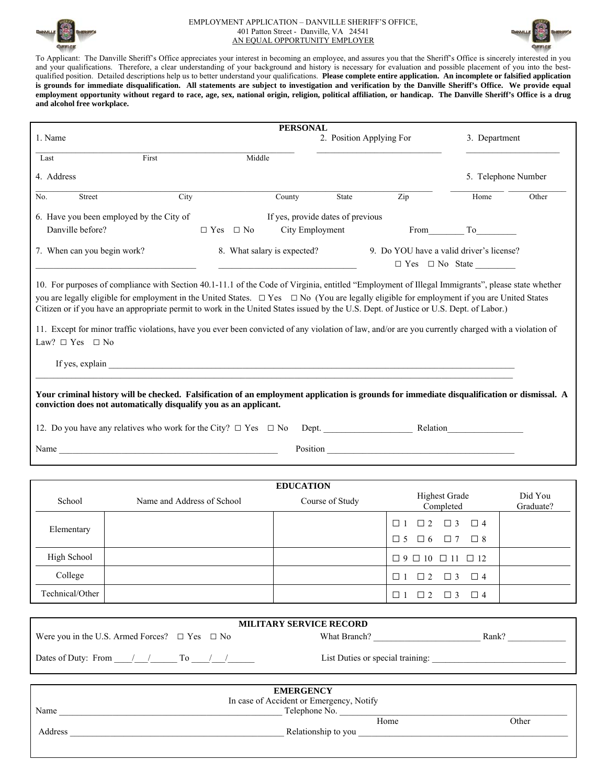

## EMPLOYMENT APPLICATION – DANVILLE SHERIFF'S OFFICE, 401 Patton Street - Danville, VA 24541 AN EQUAL OPPORTUNITY EMPLOYER



To Applicant: The Danville Sheriff's Office appreciates your interest in becoming an employee, and assures you that the Sheriff's Office is sincerely interested in you and your qualifications. Therefore, a clear understanding of your background and history is necessary for evaluation and possible placement of you into the bestqualified position. Detailed descriptions help us to better understand your qualifications. **Please complete entire application. An incomplete or falsified application is grounds for immediate disqualification. All statements are subject to investigation and verification by the Danville Sheriff's Office. We provide equal employment opportunity without regard to race, age, sex, national origin, religion, political affiliation, or handicap. The Danville Sheriff's Office is a drug and alcohol free workplace.** 

|                             |                                                                                                                                                                                                                                                                                                                                                                                                                                                                                                                                                                                                           |                      | <b>PERSONAL</b>             |                                   |                                                                  |                                   |                      |
|-----------------------------|-----------------------------------------------------------------------------------------------------------------------------------------------------------------------------------------------------------------------------------------------------------------------------------------------------------------------------------------------------------------------------------------------------------------------------------------------------------------------------------------------------------------------------------------------------------------------------------------------------------|----------------------|-----------------------------|-----------------------------------|------------------------------------------------------------------|-----------------------------------|----------------------|
| 1. Name                     |                                                                                                                                                                                                                                                                                                                                                                                                                                                                                                                                                                                                           |                      |                             |                                   | 2. Position Applying For                                         | 3. Department                     |                      |
| Last                        | First                                                                                                                                                                                                                                                                                                                                                                                                                                                                                                                                                                                                     |                      | Middle                      |                                   |                                                                  |                                   |                      |
| 4. Address                  |                                                                                                                                                                                                                                                                                                                                                                                                                                                                                                                                                                                                           |                      |                             |                                   |                                                                  |                                   | 5. Telephone Number  |
| No.<br>Street               | City                                                                                                                                                                                                                                                                                                                                                                                                                                                                                                                                                                                                      |                      | County                      | State                             | Zip                                                              | Home                              | Other                |
| Danville before?            | 6. Have you been employed by the City of                                                                                                                                                                                                                                                                                                                                                                                                                                                                                                                                                                  | $\Box$ Yes $\Box$ No | City Employment             | If yes, provide dates of previous |                                                                  | From To                           |                      |
| 7. When can you begin work? |                                                                                                                                                                                                                                                                                                                                                                                                                                                                                                                                                                                                           |                      | 8. What salary is expected? |                                   | 9. Do YOU have a valid driver's license?                         |                                   |                      |
| Law? $\Box$ Yes $\Box$ No   | 10. For purposes of compliance with Section 40.1-11.1 of the Code of Virginia, entitled "Employment of Illegal Immigrants", please state whether<br>you are legally eligible for employment in the United States. $\Box$ Yes $\Box$ No (You are legally eligible for employment if you are United States<br>Citizen or if you have an appropriate permit to work in the United States issued by the U.S. Dept. of Justice or U.S. Dept. of Labor.)<br>11. Except for minor traffic violations, have you ever been convicted of any violation of law, and/or are you currently charged with a violation of |                      |                             |                                   |                                                                  |                                   |                      |
|                             | Your criminal history will be checked. Falsification of an employment application is grounds for immediate disqualification or dismissal. A<br>conviction does not automatically disqualify you as an applicant.<br>Name and the contract of the contract of the contract of the contract of the contract of the contract of the contract of the contract of the contract of the contract of the contract of the contract of the contract of the c                                                                                                                                                        |                      |                             |                                   | Position                                                         |                                   |                      |
|                             |                                                                                                                                                                                                                                                                                                                                                                                                                                                                                                                                                                                                           |                      |                             |                                   |                                                                  |                                   |                      |
|                             |                                                                                                                                                                                                                                                                                                                                                                                                                                                                                                                                                                                                           |                      | <b>EDUCATION</b>            |                                   |                                                                  |                                   |                      |
| School                      | Name and Address of School                                                                                                                                                                                                                                                                                                                                                                                                                                                                                                                                                                                |                      |                             | Course of Study                   |                                                                  | <b>Highest Grade</b><br>Completed | Did You<br>Graduate? |
| Elementary                  |                                                                                                                                                                                                                                                                                                                                                                                                                                                                                                                                                                                                           |                      |                             |                                   | $\Box 1 \quad \Box 2 \quad \Box 3$<br>$\Box 5$ $\Box 6$ $\Box 7$ | $\Box$ 4<br>□ 8                   |                      |
| High School                 |                                                                                                                                                                                                                                                                                                                                                                                                                                                                                                                                                                                                           |                      |                             |                                   | $\Box 9 \Box 10 \Box 11 \Box 12$                                 |                                   |                      |
| College                     |                                                                                                                                                                                                                                                                                                                                                                                                                                                                                                                                                                                                           |                      |                             |                                   | $\Box 1 \quad \Box 2 \quad \Box 3$                               | $\Box$ 4                          |                      |
| Technical/Other             |                                                                                                                                                                                                                                                                                                                                                                                                                                                                                                                                                                                                           |                      |                             |                                   | $\Box 1 \quad \Box 2 \quad \Box 3$                               | $\Box$ 4                          |                      |
|                             |                                                                                                                                                                                                                                                                                                                                                                                                                                                                                                                                                                                                           |                      |                             |                                   |                                                                  |                                   |                      |
|                             | Were you in the U.S. Armed Forces? $\Box$ Yes $\Box$ No                                                                                                                                                                                                                                                                                                                                                                                                                                                                                                                                                   |                      | MILITARY SERVICE RECORD     | What Branch?                      |                                                                  | Rank?                             |                      |

|         | <b>EMERGENCY</b>                         |       |
|---------|------------------------------------------|-------|
|         | In case of Accident or Emergency, Notify |       |
| Name    | Telephone No.                            |       |
|         | Home                                     | Other |
| Address | Relationship to you                      |       |

Dates of Duty: From  $\frac{1}{\sqrt{2}}$  To  $\frac{1}{\sqrt{2}}$  List Duties or special training: